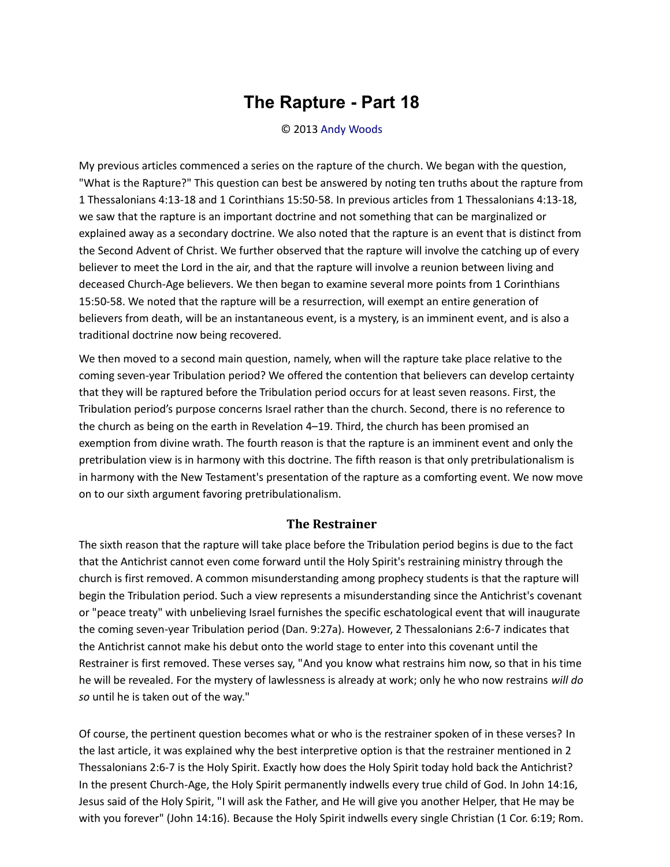## **The Rapture - Part 18**

## © 2013 [Andy Woods](http://www.spiritandtruth.org/id/aw.htm)

My previous articles commenced a series on the rapture of the church. We began with the question, "What is the Rapture?" This question can best be answered by noting ten truths about the rapture from 1 Thessalonians 4:13-18 and 1 Corinthians 15:50-58. In previous articles from 1 Thessalonians 4:13-18, we saw that the rapture is an important doctrine and not something that can be marginalized or explained away as a secondary doctrine. We also noted that the rapture is an event that is distinct from the Second Advent of Christ. We further observed that the rapture will involve the catching up of every believer to meet the Lord in the air, and that the rapture will involve a reunion between living and deceased Church-Age believers. We then began to examine several more points from 1 Corinthians 15:50-58. We noted that the rapture will be a resurrection, will exempt an entire generation of believers from death, will be an instantaneous event, is a mystery, is an imminent event, and is also a traditional doctrine now being recovered.

We then moved to a second main question, namely, when will the rapture take place relative to the coming seven-year Tribulation period? We offered the contention that believers can develop certainty that they will be raptured before the Tribulation period occurs for at least seven reasons. First, the Tribulation period's purpose concerns Israel rather than the church. Second, there is no reference to the church as being on the earth in Revelation 4–19. Third, the church has been promised an exemption from divine wrath. The fourth reason is that the rapture is an imminent event and only the pretribulation view is in harmony with this doctrine. The fifth reason is that only pretribulationalism is in harmony with the New Testament's presentation of the rapture as a comforting event. We now move on to our sixth argument favoring pretribulationalism.

## **The Restrainer**

The sixth reason that the rapture will take place before the Tribulation period begins is due to the fact that the Antichrist cannot even come forward until the Holy Spirit's restraining ministry through the church is first removed. A common misunderstanding among prophecy students is that the rapture will begin the Tribulation period. Such a view represents a misunderstanding since the Antichrist's covenant or "peace treaty" with unbelieving Israel furnishes the specific eschatological event that will inaugurate the coming seven-year Tribulation period (Dan. 9:27a). However, 2 Thessalonians 2:6-7 indicates that the Antichrist cannot make his debut onto the world stage to enter into this covenant until the Restrainer is first removed. These verses say, "And you know what restrains him now, so that in his time he will be revealed. For the mystery of lawlessness is already at work; only he who now restrains *will do so* until he is taken out of the way."

Of course, the pertinent question becomes what or who is the restrainer spoken of in these verses? In the last article, it was explained why the best interpretive option is that the restrainer mentioned in 2 Thessalonians 2:6-7 is the Holy Spirit. Exactly how does the Holy Spirit today hold back the Antichrist? In the present Church-Age, the Holy Spirit permanently indwells every true child of God. In John 14:16, Jesus said of the Holy Spirit, "I will ask the Father, and He will give you another Helper, that He may be with you forever" (John 14:16). Because the Holy Spirit indwells every single Christian (1 Cor. 6:19; Rom.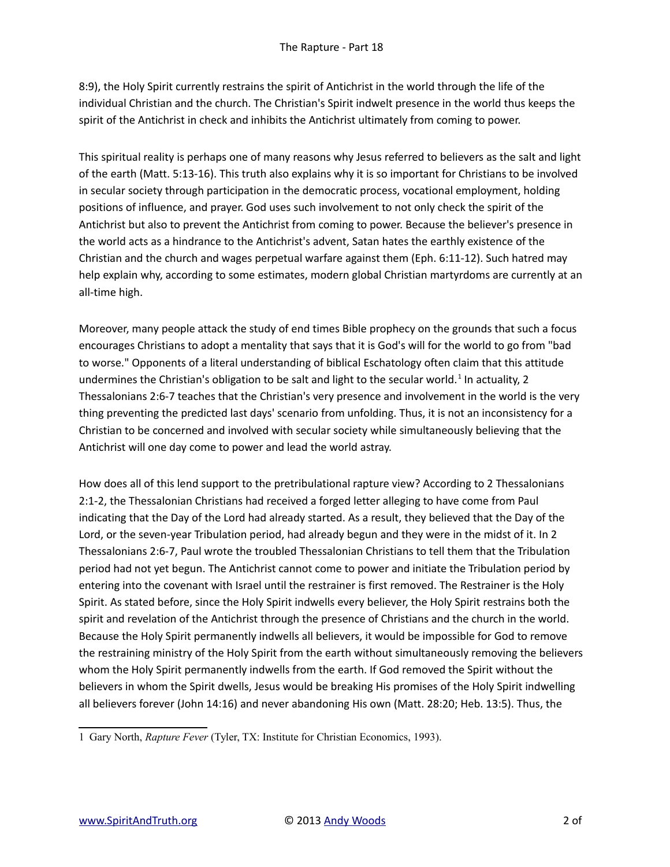8:9), the Holy Spirit currently restrains the spirit of Antichrist in the world through the life of the individual Christian and the church. The Christian's Spirit indwelt presence in the world thus keeps the spirit of the Antichrist in check and inhibits the Antichrist ultimately from coming to power.

This spiritual reality is perhaps one of many reasons why Jesus referred to believers as the salt and light of the earth (Matt. 5:13-16). This truth also explains why it is so important for Christians to be involved in secular society through participation in the democratic process, vocational employment, holding positions of influence, and prayer. God uses such involvement to not only check the spirit of the Antichrist but also to prevent the Antichrist from coming to power. Because the believer's presence in the world acts as a hindrance to the Antichrist's advent, Satan hates the earthly existence of the Christian and the church and wages perpetual warfare against them (Eph. 6:11-12). Such hatred may help explain why, according to some estimates, modern global Christian martyrdoms are currently at an all-time high.

Moreover, many people attack the study of end times Bible prophecy on the grounds that such a focus encourages Christians to adopt a mentality that says that it is God's will for the world to go from "bad to worse." Opponents of a literal understanding of biblical Eschatology often claim that this attitude undermines the Christian's obligation to be salt and light to the secular world.<sup>[1](#page-1-0)</sup> In actuality, 2 Thessalonians 2:6-7 teaches that the Christian's very presence and involvement in the world is the very thing preventing the predicted last days' scenario from unfolding. Thus, it is not an inconsistency for a Christian to be concerned and involved with secular society while simultaneously believing that the Antichrist will one day come to power and lead the world astray.

How does all of this lend support to the pretribulational rapture view? According to 2 Thessalonians 2:1-2, the Thessalonian Christians had received a forged letter alleging to have come from Paul indicating that the Day of the Lord had already started. As a result, they believed that the Day of the Lord, or the seven-year Tribulation period, had already begun and they were in the midst of it. In 2 Thessalonians 2:6-7, Paul wrote the troubled Thessalonian Christians to tell them that the Tribulation period had not yet begun. The Antichrist cannot come to power and initiate the Tribulation period by entering into the covenant with Israel until the restrainer is first removed. The Restrainer is the Holy Spirit. As stated before, since the Holy Spirit indwells every believer, the Holy Spirit restrains both the spirit and revelation of the Antichrist through the presence of Christians and the church in the world. Because the Holy Spirit permanently indwells all believers, it would be impossible for God to remove the restraining ministry of the Holy Spirit from the earth without simultaneously removing the believers whom the Holy Spirit permanently indwells from the earth. If God removed the Spirit without the believers in whom the Spirit dwells, Jesus would be breaking His promises of the Holy Spirit indwelling all believers forever (John 14:16) and never abandoning His own (Matt. 28:20; Heb. 13:5). Thus, the

<span id="page-1-0"></span><sup>1</sup> Gary North, *Rapture Fever* (Tyler, TX: Institute for Christian Economics, 1993).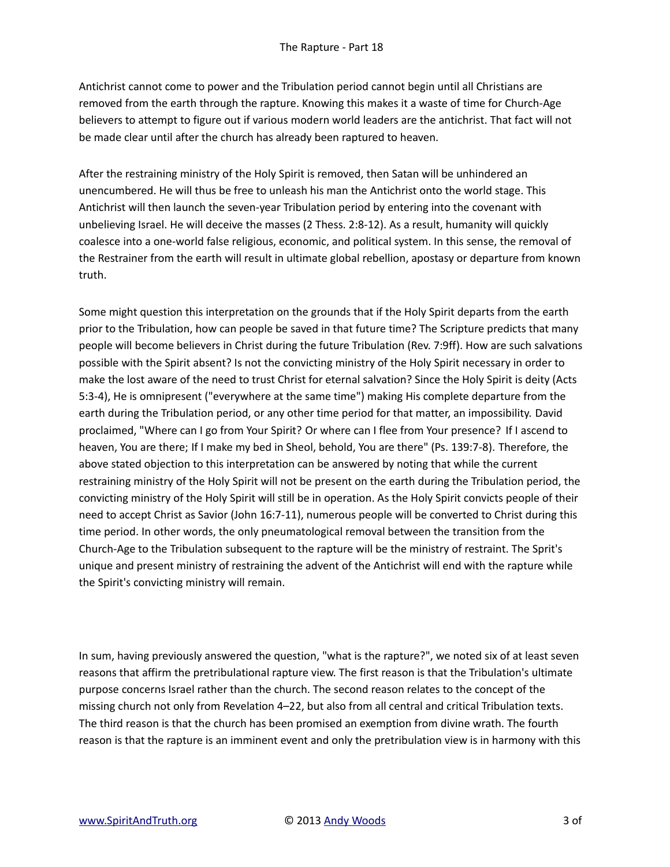Antichrist cannot come to power and the Tribulation period cannot begin until all Christians are removed from the earth through the rapture. Knowing this makes it a waste of time for Church-Age believers to attempt to figure out if various modern world leaders are the antichrist. That fact will not be made clear until after the church has already been raptured to heaven.

After the restraining ministry of the Holy Spirit is removed, then Satan will be unhindered an unencumbered. He will thus be free to unleash his man the Antichrist onto the world stage. This Antichrist will then launch the seven-year Tribulation period by entering into the covenant with unbelieving Israel. He will deceive the masses (2 Thess. 2:8-12). As a result, humanity will quickly coalesce into a one-world false religious, economic, and political system. In this sense, the removal of the Restrainer from the earth will result in ultimate global rebellion, apostasy or departure from known truth.

Some might question this interpretation on the grounds that if the Holy Spirit departs from the earth prior to the Tribulation, how can people be saved in that future time? The Scripture predicts that many people will become believers in Christ during the future Tribulation (Rev. 7:9ff). How are such salvations possible with the Spirit absent? Is not the convicting ministry of the Holy Spirit necessary in order to make the lost aware of the need to trust Christ for eternal salvation? Since the Holy Spirit is deity (Acts 5:3-4), He is omnipresent ("everywhere at the same time") making His complete departure from the earth during the Tribulation period, or any other time period for that matter, an impossibility. David proclaimed, "Where can I go from Your Spirit? Or where can I flee from Your presence? If I ascend to heaven, You are there; If I make my bed in Sheol, behold, You are there" (Ps. 139:7-8). Therefore, the above stated objection to this interpretation can be answered by noting that while the current restraining ministry of the Holy Spirit will not be present on the earth during the Tribulation period, the convicting ministry of the Holy Spirit will still be in operation. As the Holy Spirit convicts people of their need to accept Christ as Savior (John 16:7-11), numerous people will be converted to Christ during this time period. In other words, the only pneumatological removal between the transition from the Church-Age to the Tribulation subsequent to the rapture will be the ministry of restraint. The Sprit's unique and present ministry of restraining the advent of the Antichrist will end with the rapture while the Spirit's convicting ministry will remain.

In sum, having previously answered the question, "what is the rapture?", we noted six of at least seven reasons that affirm the pretribulational rapture view. The first reason is that the Tribulation's ultimate purpose concerns Israel rather than the church. The second reason relates to the concept of the missing church not only from Revelation 4–22, but also from all central and critical Tribulation texts. The third reason is that the church has been promised an exemption from divine wrath. The fourth reason is that the rapture is an imminent event and only the pretribulation view is in harmony with this